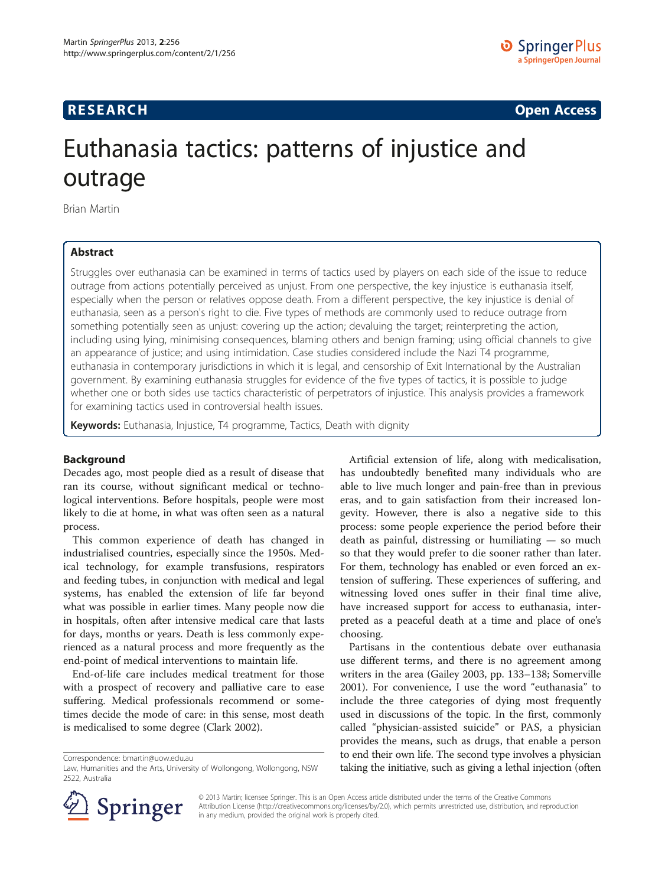# **RESEARCH RESEARCH CONSUMING ACCESS**

# Euthanasia tactics: patterns of injustice and outrage

Brian Martin

# Abstract

Struggles over euthanasia can be examined in terms of tactics used by players on each side of the issue to reduce outrage from actions potentially perceived as unjust. From one perspective, the key injustice is euthanasia itself, especially when the person or relatives oppose death. From a different perspective, the key injustice is denial of euthanasia, seen as a person's right to die. Five types of methods are commonly used to reduce outrage from something potentially seen as unjust: covering up the action; devaluing the target; reinterpreting the action, including using lying, minimising consequences, blaming others and benign framing; using official channels to give an appearance of justice; and using intimidation. Case studies considered include the Nazi T4 programme, euthanasia in contemporary jurisdictions in which it is legal, and censorship of Exit International by the Australian government. By examining euthanasia struggles for evidence of the five types of tactics, it is possible to judge whether one or both sides use tactics characteristic of perpetrators of injustice. This analysis provides a framework for examining tactics used in controversial health issues.

Keywords: Euthanasia, Injustice, T4 programme, Tactics, Death with dignity

## Background

Decades ago, most people died as a result of disease that ran its course, without significant medical or technological interventions. Before hospitals, people were most likely to die at home, in what was often seen as a natural process.

This common experience of death has changed in industrialised countries, especially since the 1950s. Medical technology, for example transfusions, respirators and feeding tubes, in conjunction with medical and legal systems, has enabled the extension of life far beyond what was possible in earlier times. Many people now die in hospitals, often after intensive medical care that lasts for days, months or years. Death is less commonly experienced as a natural process and more frequently as the end-point of medical interventions to maintain life.

End-of-life care includes medical treatment for those with a prospect of recovery and palliative care to ease suffering. Medical professionals recommend or sometimes decide the mode of care: in this sense, most death is medicalised to some degree (Clark [2002\)](#page-8-0).

Correspondence: [bmartin@uow.edu.au](mailto:bmartin@uow.edu.au)

Law, Humanities and the Arts, University of Wollongong, Wollongong, NSW 2522, Australia

Artificial extension of life, along with medicalisation, has undoubtedly benefited many individuals who are able to live much longer and pain-free than in previous eras, and to gain satisfaction from their increased longevity. However, there is also a negative side to this process: some people experience the period before their death as painful, distressing or humiliating — so much so that they would prefer to die sooner rather than later. For them, technology has enabled or even forced an extension of suffering. These experiences of suffering, and witnessing loved ones suffer in their final time alive, have increased support for access to euthanasia, interpreted as a peaceful death at a time and place of one's choosing.

Partisans in the contentious debate over euthanasia use different terms, and there is no agreement among writers in the area (Gailey [2003](#page-8-0), pp. 133–138; Somerville [2001](#page-9-0)). For convenience, I use the word "euthanasia" to include the three categories of dying most frequently used in discussions of the topic. In the first, commonly called "physician-assisted suicide" or PAS, a physician provides the means, such as drugs, that enable a person to end their own life. The second type involves a physician taking the initiative, such as giving a lethal injection (often



© 2013 Martin; licensee Springer. This is an Open Access article distributed under the terms of the Creative Commons Attribution License [\(http://creativecommons.org/licenses/by/2.0\)](http://creativecommons.org/licenses/by/2.0), which permits unrestricted use, distribution, and reproduction in any medium, provided the original work is properly cited.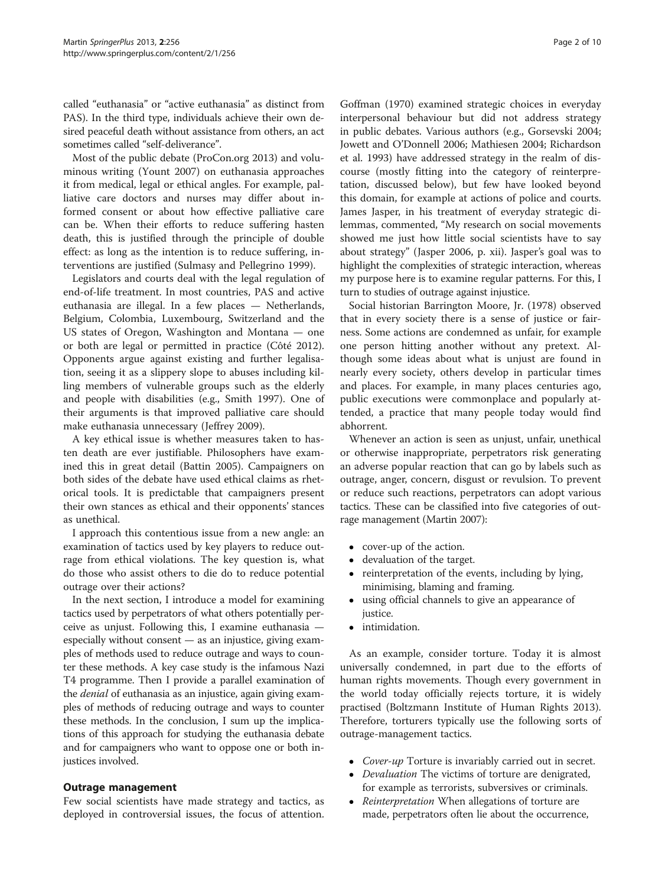called "euthanasia" or "active euthanasia" as distinct from PAS). In the third type, individuals achieve their own desired peaceful death without assistance from others, an act sometimes called "self-deliverance".

Most of the public debate (ProCon.org [2013\)](#page-9-0) and voluminous writing (Yount [2007\)](#page-9-0) on euthanasia approaches it from medical, legal or ethical angles. For example, palliative care doctors and nurses may differ about informed consent or about how effective palliative care can be. When their efforts to reduce suffering hasten death, this is justified through the principle of double effect: as long as the intention is to reduce suffering, interventions are justified (Sulmasy and Pellegrino [1999\)](#page-9-0).

Legislators and courts deal with the legal regulation of end-of-life treatment. In most countries, PAS and active euthanasia are illegal. In a few places — Netherlands, Belgium, Colombia, Luxembourg, Switzerland and the US states of Oregon, Washington and Montana — one or both are legal or permitted in practice (Côté [2012](#page-8-0)). Opponents argue against existing and further legalisation, seeing it as a slippery slope to abuses including killing members of vulnerable groups such as the elderly and people with disabilities (e.g., Smith [1997](#page-9-0)). One of their arguments is that improved palliative care should make euthanasia unnecessary (Jeffrey [2009](#page-8-0)).

A key ethical issue is whether measures taken to hasten death are ever justifiable. Philosophers have examined this in great detail (Battin [2005\)](#page-8-0). Campaigners on both sides of the debate have used ethical claims as rhetorical tools. It is predictable that campaigners present their own stances as ethical and their opponents' stances as unethical.

I approach this contentious issue from a new angle: an examination of tactics used by key players to reduce outrage from ethical violations. The key question is, what do those who assist others to die do to reduce potential outrage over their actions?

In the next section, I introduce a model for examining tactics used by perpetrators of what others potentially perceive as unjust. Following this, I examine euthanasia especially without consent — as an injustice, giving examples of methods used to reduce outrage and ways to counter these methods. A key case study is the infamous Nazi T4 programme. Then I provide a parallel examination of the *denial* of euthanasia as an injustice, again giving examples of methods of reducing outrage and ways to counter these methods. In the conclusion, I sum up the implications of this approach for studying the euthanasia debate and for campaigners who want to oppose one or both injustices involved.

## Outrage management

Few social scientists have made strategy and tactics, as deployed in controversial issues, the focus of attention.

Goffman [\(1970\)](#page-8-0) examined strategic choices in everyday interpersonal behaviour but did not address strategy in public debates. Various authors (e.g., Gorsevski [2004](#page-8-0); Jowett and O'Donnell [2006;](#page-8-0) Mathiesen [2004](#page-9-0); Richardson et al. [1993](#page-9-0)) have addressed strategy in the realm of discourse (mostly fitting into the category of reinterpretation, discussed below), but few have looked beyond this domain, for example at actions of police and courts. James Jasper, in his treatment of everyday strategic dilemmas, commented, "My research on social movements showed me just how little social scientists have to say about strategy" (Jasper [2006,](#page-8-0) p. xii). Jasper's goal was to highlight the complexities of strategic interaction, whereas my purpose here is to examine regular patterns. For this, I turn to studies of outrage against injustice.

Social historian Barrington Moore, Jr. ([1978](#page-9-0)) observed that in every society there is a sense of justice or fairness. Some actions are condemned as unfair, for example one person hitting another without any pretext. Although some ideas about what is unjust are found in nearly every society, others develop in particular times and places. For example, in many places centuries ago, public executions were commonplace and popularly attended, a practice that many people today would find abhorrent.

Whenever an action is seen as unjust, unfair, unethical or otherwise inappropriate, perpetrators risk generating an adverse popular reaction that can go by labels such as outrage, anger, concern, disgust or revulsion. To prevent or reduce such reactions, perpetrators can adopt various tactics. These can be classified into five categories of outrage management (Martin [2007](#page-9-0)):

- cover-up of the action.
- devaluation of the target.
- reinterpretation of the events, including by lying, minimising, blaming and framing.
- using official channels to give an appearance of justice.
- intimidation.

As an example, consider torture. Today it is almost universally condemned, in part due to the efforts of human rights movements. Though every government in the world today officially rejects torture, it is widely practised (Boltzmann Institute of Human Rights [2013](#page-8-0)). Therefore, torturers typically use the following sorts of outrage-management tactics.

- *Cover-up* Torture is invariably carried out in secret.
- *Devaluation* The victims of torture are denigrated, for example as terrorists, subversives or criminals.
- Reinterpretation When allegations of torture are made, perpetrators often lie about the occurrence,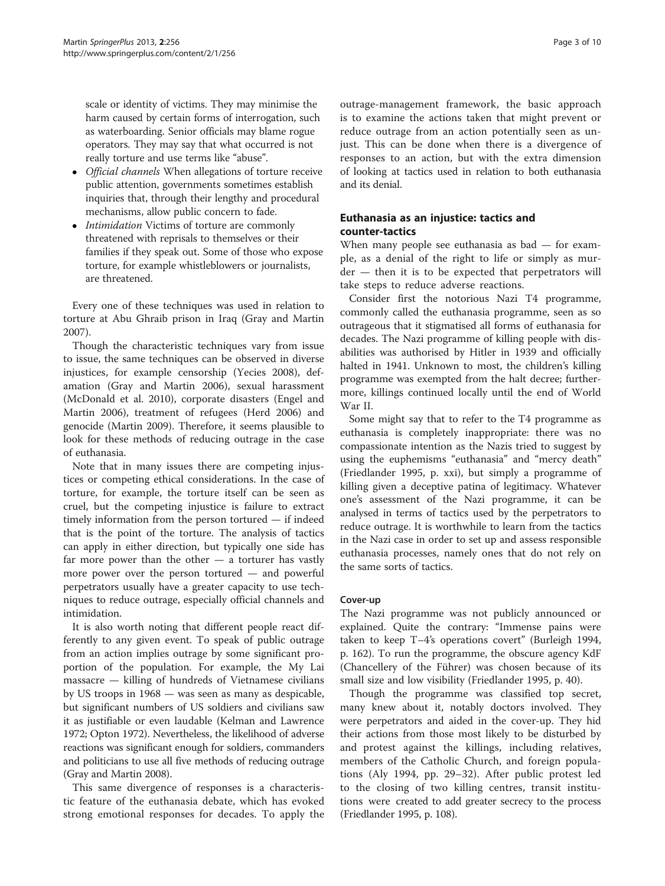scale or identity of victims. They may minimise the harm caused by certain forms of interrogation, such as waterboarding. Senior officials may blame rogue operators. They may say that what occurred is not really torture and use terms like "abuse".

- Official channels When allegations of torture receive public attention, governments sometimes establish inquiries that, through their lengthy and procedural mechanisms, allow public concern to fade.
- Intimidation Victims of torture are commonly threatened with reprisals to themselves or their families if they speak out. Some of those who expose torture, for example whistleblowers or journalists, are threatened.

Every one of these techniques was used in relation to torture at Abu Ghraib prison in Iraq (Gray and Martin [2007](#page-8-0)).

Though the characteristic techniques vary from issue to issue, the same techniques can be observed in diverse injustices, for example censorship (Yecies [2008\)](#page-9-0), defamation (Gray and Martin [2006\)](#page-8-0), sexual harassment (McDonald et al. [2010\)](#page-9-0), corporate disasters (Engel and Martin [2006\)](#page-8-0), treatment of refugees (Herd [2006](#page-8-0)) and genocide (Martin [2009\)](#page-9-0). Therefore, it seems plausible to look for these methods of reducing outrage in the case of euthanasia.

Note that in many issues there are competing injustices or competing ethical considerations. In the case of torture, for example, the torture itself can be seen as cruel, but the competing injustice is failure to extract timely information from the person tortured — if indeed that is the point of the torture. The analysis of tactics can apply in either direction, but typically one side has far more power than the other  $-$  a torturer has vastly more power over the person tortured — and powerful perpetrators usually have a greater capacity to use techniques to reduce outrage, especially official channels and intimidation.

It is also worth noting that different people react differently to any given event. To speak of public outrage from an action implies outrage by some significant proportion of the population. For example, the My Lai massacre — killing of hundreds of Vietnamese civilians by US troops in 1968 — was seen as many as despicable, but significant numbers of US soldiers and civilians saw it as justifiable or even laudable (Kelman and Lawrence [1972;](#page-8-0) Opton [1972\)](#page-9-0). Nevertheless, the likelihood of adverse reactions was significant enough for soldiers, commanders and politicians to use all five methods of reducing outrage (Gray and Martin [2008\)](#page-8-0).

This same divergence of responses is a characteristic feature of the euthanasia debate, which has evoked strong emotional responses for decades. To apply the

outrage-management framework, the basic approach is to examine the actions taken that might prevent or reduce outrage from an action potentially seen as unjust. This can be done when there is a divergence of responses to an action, but with the extra dimension of looking at tactics used in relation to both euthanasia and its denial.

# Euthanasia as an injustice: tactics and counter-tactics

When many people see euthanasia as bad — for example, as a denial of the right to life or simply as murder — then it is to be expected that perpetrators will take steps to reduce adverse reactions.

Consider first the notorious Nazi T4 programme, commonly called the euthanasia programme, seen as so outrageous that it stigmatised all forms of euthanasia for decades. The Nazi programme of killing people with disabilities was authorised by Hitler in 1939 and officially halted in 1941. Unknown to most, the children's killing programme was exempted from the halt decree; furthermore, killings continued locally until the end of World War II.

Some might say that to refer to the T4 programme as euthanasia is completely inappropriate: there was no compassionate intention as the Nazis tried to suggest by using the euphemisms "euthanasia" and "mercy death" (Friedlander [1995,](#page-8-0) p. xxi), but simply a programme of killing given a deceptive patina of legitimacy. Whatever one's assessment of the Nazi programme, it can be analysed in terms of tactics used by the perpetrators to reduce outrage. It is worthwhile to learn from the tactics in the Nazi case in order to set up and assess responsible euthanasia processes, namely ones that do not rely on the same sorts of tactics.

## Cover-up

The Nazi programme was not publicly announced or explained. Quite the contrary: "Immense pains were taken to keep T–4's operations covert" (Burleigh [1994](#page-8-0), p. 162). To run the programme, the obscure agency KdF (Chancellery of the Führer) was chosen because of its small size and low visibility (Friedlander [1995,](#page-8-0) p. 40).

Though the programme was classified top secret, many knew about it, notably doctors involved. They were perpetrators and aided in the cover-up. They hid their actions from those most likely to be disturbed by and protest against the killings, including relatives, members of the Catholic Church, and foreign populations (Aly [1994,](#page-8-0) pp. 29–32). After public protest led to the closing of two killing centres, transit institutions were created to add greater secrecy to the process (Friedlander [1995](#page-8-0), p. 108).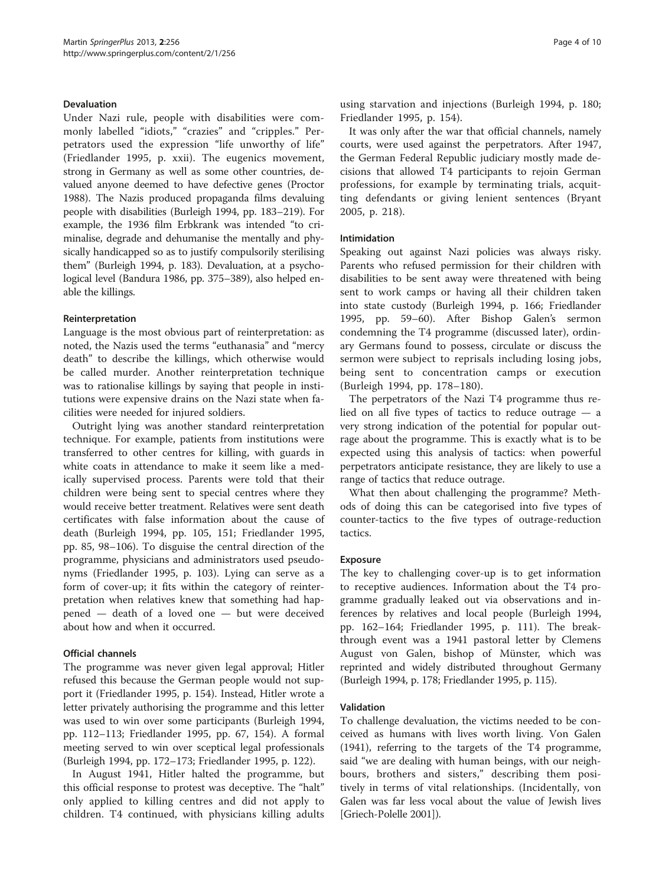## Devaluation

Under Nazi rule, people with disabilities were commonly labelled "idiots," "crazies" and "cripples." Perpetrators used the expression "life unworthy of life" (Friedlander [1995](#page-8-0), p. xxii). The eugenics movement, strong in Germany as well as some other countries, devalued anyone deemed to have defective genes (Proctor [1988\)](#page-9-0). The Nazis produced propaganda films devaluing people with disabilities (Burleigh [1994](#page-8-0), pp. 183–219). For example, the 1936 film Erbkrank was intended "to criminalise, degrade and dehumanise the mentally and physically handicapped so as to justify compulsorily sterilising them" (Burleigh [1994,](#page-8-0) p. 183). Devaluation, at a psychological level (Bandura [1986,](#page-8-0) pp. 375–389), also helped enable the killings.

## Reinterpretation

Language is the most obvious part of reinterpretation: as noted, the Nazis used the terms "euthanasia" and "mercy death" to describe the killings, which otherwise would be called murder. Another reinterpretation technique was to rationalise killings by saying that people in institutions were expensive drains on the Nazi state when facilities were needed for injured soldiers.

Outright lying was another standard reinterpretation technique. For example, patients from institutions were transferred to other centres for killing, with guards in white coats in attendance to make it seem like a medically supervised process. Parents were told that their children were being sent to special centres where they would receive better treatment. Relatives were sent death certificates with false information about the cause of death (Burleigh [1994,](#page-8-0) pp. 105, 151; Friedlander [1995](#page-8-0), pp. 85, 98–106). To disguise the central direction of the programme, physicians and administrators used pseudonyms (Friedlander [1995](#page-8-0), p. 103). Lying can serve as a form of cover-up; it fits within the category of reinterpretation when relatives knew that something had happened — death of a loved one — but were deceived about how and when it occurred.

## Official channels

The programme was never given legal approval; Hitler refused this because the German people would not support it (Friedlander [1995,](#page-8-0) p. 154). Instead, Hitler wrote a letter privately authorising the programme and this letter was used to win over some participants (Burleigh [1994](#page-8-0), pp. 112–113; Friedlander [1995,](#page-8-0) pp. 67, 154). A formal meeting served to win over sceptical legal professionals (Burleigh [1994,](#page-8-0) pp. 172–173; Friedlander [1995](#page-8-0), p. 122).

In August 1941, Hitler halted the programme, but this official response to protest was deceptive. The "halt" only applied to killing centres and did not apply to children. T4 continued, with physicians killing adults using starvation and injections (Burleigh [1994](#page-8-0), p. 180; Friedlander [1995](#page-8-0), p. 154).

It was only after the war that official channels, namely courts, were used against the perpetrators. After 1947, the German Federal Republic judiciary mostly made decisions that allowed T4 participants to rejoin German professions, for example by terminating trials, acquitting defendants or giving lenient sentences (Bryant [2005,](#page-8-0) p. 218).

## Intimidation

Speaking out against Nazi policies was always risky. Parents who refused permission for their children with disabilities to be sent away were threatened with being sent to work camps or having all their children taken into state custody (Burleigh [1994,](#page-8-0) p. 166; Friedlander [1995](#page-8-0), pp. 59–60). After Bishop Galen's sermon condemning the T4 programme (discussed later), ordinary Germans found to possess, circulate or discuss the sermon were subject to reprisals including losing jobs, being sent to concentration camps or execution (Burleigh [1994,](#page-8-0) pp. 178–180).

The perpetrators of the Nazi T4 programme thus relied on all five types of tactics to reduce outrage — a very strong indication of the potential for popular outrage about the programme. This is exactly what is to be expected using this analysis of tactics: when powerful perpetrators anticipate resistance, they are likely to use a range of tactics that reduce outrage.

What then about challenging the programme? Methods of doing this can be categorised into five types of counter-tactics to the five types of outrage-reduction tactics.

## Exposure

The key to challenging cover-up is to get information to receptive audiences. Information about the T4 programme gradually leaked out via observations and inferences by relatives and local people (Burleigh [1994](#page-8-0), pp. 162–164; Friedlander [1995,](#page-8-0) p. 111). The breakthrough event was a 1941 pastoral letter by Clemens August von Galen, bishop of Münster, which was reprinted and widely distributed throughout Germany (Burleigh [1994](#page-8-0), p. 178; Friedlander [1995,](#page-8-0) p. 115).

## Validation

To challenge devaluation, the victims needed to be conceived as humans with lives worth living. Von Galen ([1941\)](#page-9-0), referring to the targets of the T4 programme, said "we are dealing with human beings, with our neighbours, brothers and sisters," describing them positively in terms of vital relationships. (Incidentally, von Galen was far less vocal about the value of Jewish lives [Griech-Polelle [2001\]](#page-8-0)).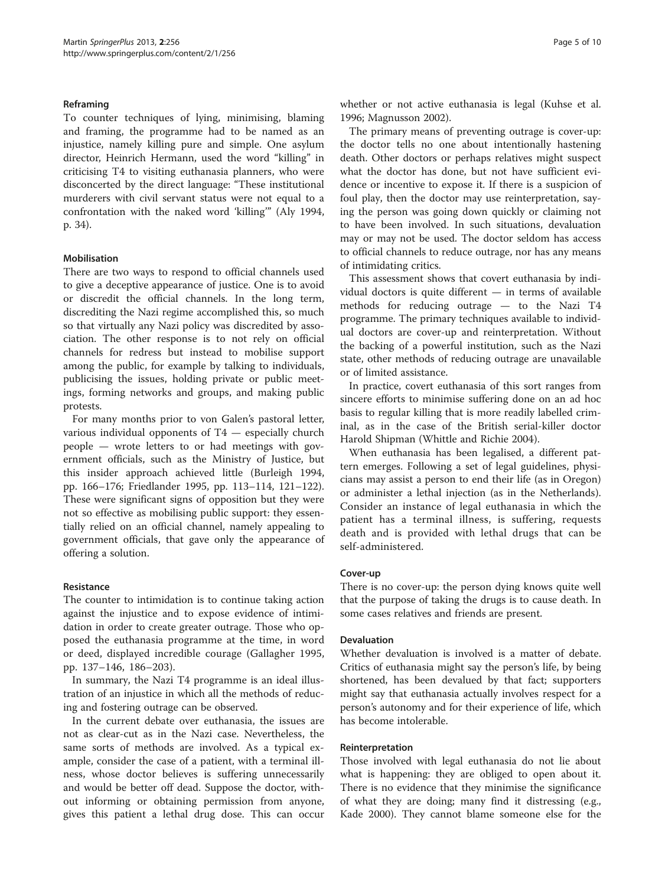## Reframing

To counter techniques of lying, minimising, blaming and framing, the programme had to be named as an injustice, namely killing pure and simple. One asylum director, Heinrich Hermann, used the word "killing" in criticising T4 to visiting euthanasia planners, who were disconcerted by the direct language: "These institutional murderers with civil servant status were not equal to a confrontation with the naked word 'killing'" (Aly [1994](#page-8-0), p. 34).

## Mobilisation

There are two ways to respond to official channels used to give a deceptive appearance of justice. One is to avoid or discredit the official channels. In the long term, discrediting the Nazi regime accomplished this, so much so that virtually any Nazi policy was discredited by association. The other response is to not rely on official channels for redress but instead to mobilise support among the public, for example by talking to individuals, publicising the issues, holding private or public meetings, forming networks and groups, and making public protests.

For many months prior to von Galen's pastoral letter, various individual opponents of T4 — especially church people — wrote letters to or had meetings with government officials, such as the Ministry of Justice, but this insider approach achieved little (Burleigh [1994](#page-8-0), pp. 166–176; Friedlander [1995](#page-8-0), pp. 113–114, 121–122). These were significant signs of opposition but they were not so effective as mobilising public support: they essentially relied on an official channel, namely appealing to government officials, that gave only the appearance of offering a solution.

## Resistance

The counter to intimidation is to continue taking action against the injustice and to expose evidence of intimidation in order to create greater outrage. Those who opposed the euthanasia programme at the time, in word or deed, displayed incredible courage (Gallagher [1995](#page-8-0), pp. 137–146, 186–203).

In summary, the Nazi T4 programme is an ideal illustration of an injustice in which all the methods of reducing and fostering outrage can be observed.

In the current debate over euthanasia, the issues are not as clear-cut as in the Nazi case. Nevertheless, the same sorts of methods are involved. As a typical example, consider the case of a patient, with a terminal illness, whose doctor believes is suffering unnecessarily and would be better off dead. Suppose the doctor, without informing or obtaining permission from anyone, gives this patient a lethal drug dose. This can occur whether or not active euthanasia is legal (Kuhse et al. [1996](#page-9-0); Magnusson [2002](#page-9-0)).

The primary means of preventing outrage is cover-up: the doctor tells no one about intentionally hastening death. Other doctors or perhaps relatives might suspect what the doctor has done, but not have sufficient evidence or incentive to expose it. If there is a suspicion of foul play, then the doctor may use reinterpretation, saying the person was going down quickly or claiming not to have been involved. In such situations, devaluation may or may not be used. The doctor seldom has access to official channels to reduce outrage, nor has any means of intimidating critics.

This assessment shows that covert euthanasia by individual doctors is quite different — in terms of available methods for reducing outrage — to the Nazi T4 programme. The primary techniques available to individual doctors are cover-up and reinterpretation. Without the backing of a powerful institution, such as the Nazi state, other methods of reducing outrage are unavailable or of limited assistance.

In practice, covert euthanasia of this sort ranges from sincere efforts to minimise suffering done on an ad hoc basis to regular killing that is more readily labelled criminal, as in the case of the British serial-killer doctor Harold Shipman (Whittle and Richie [2004](#page-9-0)).

When euthanasia has been legalised, a different pattern emerges. Following a set of legal guidelines, physicians may assist a person to end their life (as in Oregon) or administer a lethal injection (as in the Netherlands). Consider an instance of legal euthanasia in which the patient has a terminal illness, is suffering, requests death and is provided with lethal drugs that can be self-administered.

## Cover-up

There is no cover-up: the person dying knows quite well that the purpose of taking the drugs is to cause death. In some cases relatives and friends are present.

## Devaluation

Whether devaluation is involved is a matter of debate. Critics of euthanasia might say the person's life, by being shortened, has been devalued by that fact; supporters might say that euthanasia actually involves respect for a person's autonomy and for their experience of life, which has become intolerable.

## Reinterpretation

Those involved with legal euthanasia do not lie about what is happening: they are obliged to open about it. There is no evidence that they minimise the significance of what they are doing; many find it distressing (e.g., Kade [2000\)](#page-8-0). They cannot blame someone else for the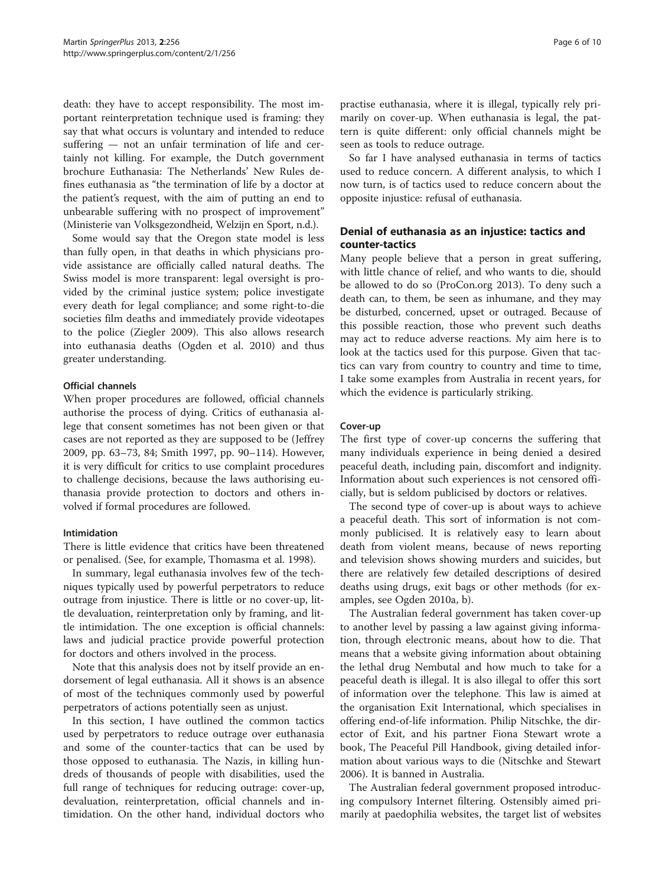death: they have to accept responsibility. The most important reinterpretation technique used is framing: they say that what occurs is voluntary and intended to reduce suffering — not an unfair termination of life and certainly not killing. For example, the Dutch government brochure Euthanasia: The Netherlands' New Rules defines euthanasia as "the termination of life by a doctor at the patient's request, with the aim of putting an end to unbearable suffering with no prospect of improvement" ([Ministerie van Volksgezondheid, Welzijn en Sport, n.d.](#page-9-0)).

Some would say that the Oregon state model is less than fully open, in that deaths in which physicians provide assistance are officially called natural deaths. The Swiss model is more transparent: legal oversight is provided by the criminal justice system; police investigate every death for legal compliance; and some right-to-die societies film deaths and immediately provide videotapes to the police (Ziegler [2009\)](#page-9-0). This also allows research into euthanasia deaths (Ogden et al. [2010](#page-9-0)) and thus greater understanding.

## Official channels

When proper procedures are followed, official channels authorise the process of dying. Critics of euthanasia allege that consent sometimes has not been given or that cases are not reported as they are supposed to be (Jeffrey [2009](#page-8-0), pp. 63–73, 84; Smith [1997,](#page-9-0) pp. 90–114). However, it is very difficult for critics to use complaint procedures to challenge decisions, because the laws authorising euthanasia provide protection to doctors and others involved if formal procedures are followed.

## Intimidation

There is little evidence that critics have been threatened or penalised. (See, for example, Thomasma et al. [1998\)](#page-9-0).

In summary, legal euthanasia involves few of the techniques typically used by powerful perpetrators to reduce outrage from injustice. There is little or no cover-up, little devaluation, reinterpretation only by framing, and little intimidation. The one exception is official channels: laws and judicial practice provide powerful protection for doctors and others involved in the process.

Note that this analysis does not by itself provide an endorsement of legal euthanasia. All it shows is an absence of most of the techniques commonly used by powerful perpetrators of actions potentially seen as unjust.

In this section, I have outlined the common tactics used by perpetrators to reduce outrage over euthanasia and some of the counter-tactics that can be used by those opposed to euthanasia. The Nazis, in killing hundreds of thousands of people with disabilities, used the full range of techniques for reducing outrage: cover-up, devaluation, reinterpretation, official channels and intimidation. On the other hand, individual doctors who

practise euthanasia, where it is illegal, typically rely primarily on cover-up. When euthanasia is legal, the pattern is quite different: only official channels might be seen as tools to reduce outrage.

So far I have analysed euthanasia in terms of tactics used to reduce concern. A different analysis, to which I now turn, is of tactics used to reduce concern about the opposite injustice: refusal of euthanasia.

# Denial of euthanasia as an injustice: tactics and counter-tactics

Many people believe that a person in great suffering, with little chance of relief, and who wants to die, should be allowed to do so (ProCon.org [2013](#page-9-0)). To deny such a death can, to them, be seen as inhumane, and they may be disturbed, concerned, upset or outraged. Because of this possible reaction, those who prevent such deaths may act to reduce adverse reactions. My aim here is to look at the tactics used for this purpose. Given that tactics can vary from country to country and time to time, I take some examples from Australia in recent years, for which the evidence is particularly striking.

## Cover-up

The first type of cover-up concerns the suffering that many individuals experience in being denied a desired peaceful death, including pain, discomfort and indignity. Information about such experiences is not censored officially, but is seldom publicised by doctors or relatives.

The second type of cover-up is about ways to achieve a peaceful death. This sort of information is not commonly publicised. It is relatively easy to learn about death from violent means, because of news reporting and television shows showing murders and suicides, but there are relatively few detailed descriptions of desired deaths using drugs, exit bags or other methods (for examples, see Ogden [2010a](#page-9-0), [b\)](#page-9-0).

The Australian federal government has taken cover-up to another level by passing a law against giving information, through electronic means, about how to die. That means that a website giving information about obtaining the lethal drug Nembutal and how much to take for a peaceful death is illegal. It is also illegal to offer this sort of information over the telephone. This law is aimed at the organisation Exit International, which specialises in offering end-of-life information. Philip Nitschke, the director of Exit, and his partner Fiona Stewart wrote a book, The Peaceful Pill Handbook, giving detailed information about various ways to die (Nitschke and Stewart [2006](#page-9-0)). It is banned in Australia.

The Australian federal government proposed introducing compulsory Internet filtering. Ostensibly aimed primarily at paedophilia websites, the target list of websites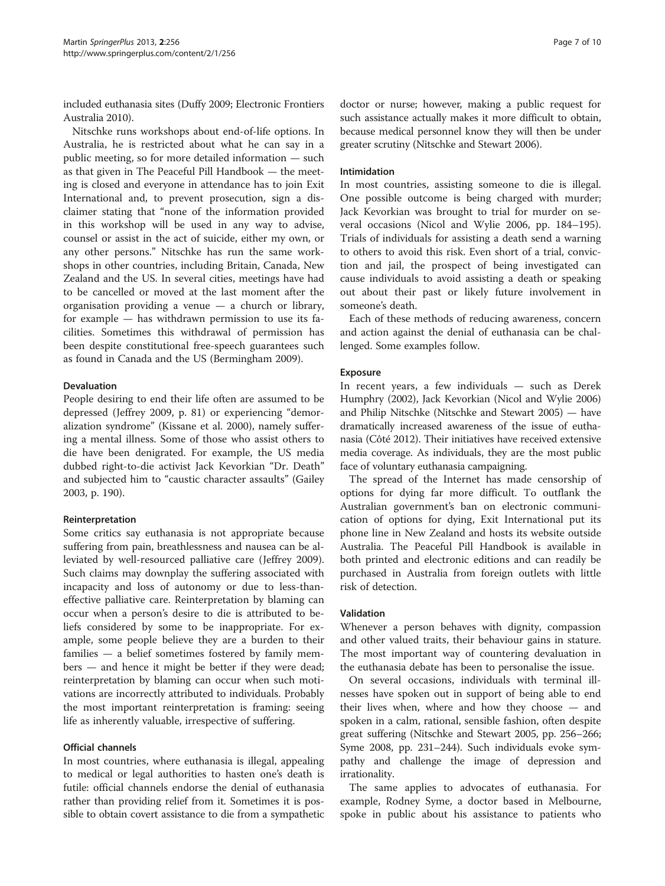included euthanasia sites (Duffy [2009](#page-8-0); Electronic Frontiers Australia [2010\)](#page-8-0).

Nitschke runs workshops about end-of-life options. In Australia, he is restricted about what he can say in a public meeting, so for more detailed information — such as that given in The Peaceful Pill Handbook — the meeting is closed and everyone in attendance has to join Exit International and, to prevent prosecution, sign a disclaimer stating that "none of the information provided in this workshop will be used in any way to advise, counsel or assist in the act of suicide, either my own, or any other persons." Nitschke has run the same workshops in other countries, including Britain, Canada, New Zealand and the US. In several cities, meetings have had to be cancelled or moved at the last moment after the organisation providing a venue — a church or library, for example — has withdrawn permission to use its facilities. Sometimes this withdrawal of permission has been despite constitutional free-speech guarantees such as found in Canada and the US (Bermingham [2009](#page-8-0)).

## Devaluation

People desiring to end their life often are assumed to be depressed (Jeffrey [2009,](#page-8-0) p. 81) or experiencing "demoralization syndrome" (Kissane et al. [2000\)](#page-9-0), namely suffering a mental illness. Some of those who assist others to die have been denigrated. For example, the US media dubbed right-to-die activist Jack Kevorkian "Dr. Death" and subjected him to "caustic character assaults" (Gailey [2003](#page-8-0), p. 190).

## Reinterpretation

Some critics say euthanasia is not appropriate because suffering from pain, breathlessness and nausea can be alleviated by well-resourced palliative care (Jeffrey [2009](#page-8-0)). Such claims may downplay the suffering associated with incapacity and loss of autonomy or due to less-thaneffective palliative care. Reinterpretation by blaming can occur when a person's desire to die is attributed to beliefs considered by some to be inappropriate. For example, some people believe they are a burden to their families — a belief sometimes fostered by family members — and hence it might be better if they were dead; reinterpretation by blaming can occur when such motivations are incorrectly attributed to individuals. Probably the most important reinterpretation is framing: seeing life as inherently valuable, irrespective of suffering.

## Official channels

In most countries, where euthanasia is illegal, appealing to medical or legal authorities to hasten one's death is futile: official channels endorse the denial of euthanasia rather than providing relief from it. Sometimes it is possible to obtain covert assistance to die from a sympathetic

doctor or nurse; however, making a public request for such assistance actually makes it more difficult to obtain, because medical personnel know they will then be under greater scrutiny (Nitschke and Stewart [2006](#page-9-0)).

## Intimidation

In most countries, assisting someone to die is illegal. One possible outcome is being charged with murder; Jack Kevorkian was brought to trial for murder on several occasions (Nicol and Wylie [2006,](#page-9-0) pp. 184–195). Trials of individuals for assisting a death send a warning to others to avoid this risk. Even short of a trial, conviction and jail, the prospect of being investigated can cause individuals to avoid assisting a death or speaking out about their past or likely future involvement in someone's death.

Each of these methods of reducing awareness, concern and action against the denial of euthanasia can be challenged. Some examples follow.

## Exposure

In recent years, a few individuals — such as Derek Humphry [\(2002\)](#page-8-0), Jack Kevorkian (Nicol and Wylie [2006](#page-9-0)) and Philip Nitschke (Nitschke and Stewart [2005](#page-9-0)) — have dramatically increased awareness of the issue of euthanasia (Côté [2012\)](#page-8-0). Their initiatives have received extensive media coverage. As individuals, they are the most public face of voluntary euthanasia campaigning.

The spread of the Internet has made censorship of options for dying far more difficult. To outflank the Australian government's ban on electronic communication of options for dying, Exit International put its phone line in New Zealand and hosts its website outside Australia. The Peaceful Pill Handbook is available in both printed and electronic editions and can readily be purchased in Australia from foreign outlets with little risk of detection.

## Validation

Whenever a person behaves with dignity, compassion and other valued traits, their behaviour gains in stature. The most important way of countering devaluation in the euthanasia debate has been to personalise the issue.

On several occasions, individuals with terminal illnesses have spoken out in support of being able to end their lives when, where and how they choose — and spoken in a calm, rational, sensible fashion, often despite great suffering (Nitschke and Stewart [2005](#page-9-0), pp. 256–266; Syme [2008](#page-9-0), pp. 231–244). Such individuals evoke sympathy and challenge the image of depression and irrationality.

The same applies to advocates of euthanasia. For example, Rodney Syme, a doctor based in Melbourne, spoke in public about his assistance to patients who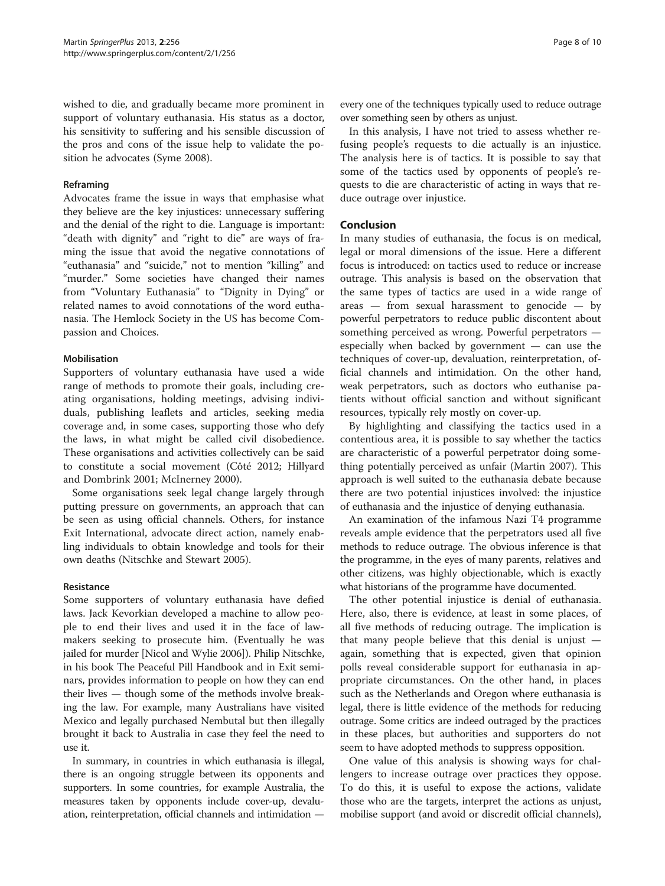wished to die, and gradually became more prominent in support of voluntary euthanasia. His status as a doctor, his sensitivity to suffering and his sensible discussion of the pros and cons of the issue help to validate the position he advocates (Syme [2008\)](#page-9-0).

## Reframing

Advocates frame the issue in ways that emphasise what they believe are the key injustices: unnecessary suffering and the denial of the right to die. Language is important: "death with dignity" and "right to die" are ways of framing the issue that avoid the negative connotations of "euthanasia" and "suicide," not to mention "killing" and "murder." Some societies have changed their names from "Voluntary Euthanasia" to "Dignity in Dying" or related names to avoid connotations of the word euthanasia. The Hemlock Society in the US has become Compassion and Choices.

## Mobilisation

Supporters of voluntary euthanasia have used a wide range of methods to promote their goals, including creating organisations, holding meetings, advising individuals, publishing leaflets and articles, seeking media coverage and, in some cases, supporting those who defy the laws, in what might be called civil disobedience. These organisations and activities collectively can be said to constitute a social movement (Côté [2012](#page-8-0); Hillyard and Dombrink [2001](#page-8-0); McInerney [2000\)](#page-9-0).

Some organisations seek legal change largely through putting pressure on governments, an approach that can be seen as using official channels. Others, for instance Exit International, advocate direct action, namely enabling individuals to obtain knowledge and tools for their own deaths (Nitschke and Stewart [2005\)](#page-9-0).

## Resistance

Some supporters of voluntary euthanasia have defied laws. Jack Kevorkian developed a machine to allow people to end their lives and used it in the face of lawmakers seeking to prosecute him. (Eventually he was jailed for murder [Nicol and Wylie [2006\]](#page-9-0)). Philip Nitschke, in his book The Peaceful Pill Handbook and in Exit seminars, provides information to people on how they can end their lives — though some of the methods involve breaking the law. For example, many Australians have visited Mexico and legally purchased Nembutal but then illegally brought it back to Australia in case they feel the need to use it.

In summary, in countries in which euthanasia is illegal, there is an ongoing struggle between its opponents and supporters. In some countries, for example Australia, the measures taken by opponents include cover-up, devaluation, reinterpretation, official channels and intimidation —

every one of the techniques typically used to reduce outrage over something seen by others as unjust.

In this analysis, I have not tried to assess whether refusing people's requests to die actually is an injustice. The analysis here is of tactics. It is possible to say that some of the tactics used by opponents of people's requests to die are characteristic of acting in ways that reduce outrage over injustice.

## Conclusion

In many studies of euthanasia, the focus is on medical, legal or moral dimensions of the issue. Here a different focus is introduced: on tactics used to reduce or increase outrage. This analysis is based on the observation that the same types of tactics are used in a wide range of areas  $-$  from sexual harassment to genocide  $-$  by powerful perpetrators to reduce public discontent about something perceived as wrong. Powerful perpetrators especially when backed by government — can use the techniques of cover-up, devaluation, reinterpretation, official channels and intimidation. On the other hand, weak perpetrators, such as doctors who euthanise patients without official sanction and without significant resources, typically rely mostly on cover-up.

By highlighting and classifying the tactics used in a contentious area, it is possible to say whether the tactics are characteristic of a powerful perpetrator doing something potentially perceived as unfair (Martin [2007\)](#page-9-0). This approach is well suited to the euthanasia debate because there are two potential injustices involved: the injustice of euthanasia and the injustice of denying euthanasia.

An examination of the infamous Nazi T4 programme reveals ample evidence that the perpetrators used all five methods to reduce outrage. The obvious inference is that the programme, in the eyes of many parents, relatives and other citizens, was highly objectionable, which is exactly what historians of the programme have documented.

The other potential injustice is denial of euthanasia. Here, also, there is evidence, at least in some places, of all five methods of reducing outrage. The implication is that many people believe that this denial is unjust again, something that is expected, given that opinion polls reveal considerable support for euthanasia in appropriate circumstances. On the other hand, in places such as the Netherlands and Oregon where euthanasia is legal, there is little evidence of the methods for reducing outrage. Some critics are indeed outraged by the practices in these places, but authorities and supporters do not seem to have adopted methods to suppress opposition.

One value of this analysis is showing ways for challengers to increase outrage over practices they oppose. To do this, it is useful to expose the actions, validate those who are the targets, interpret the actions as unjust, mobilise support (and avoid or discredit official channels),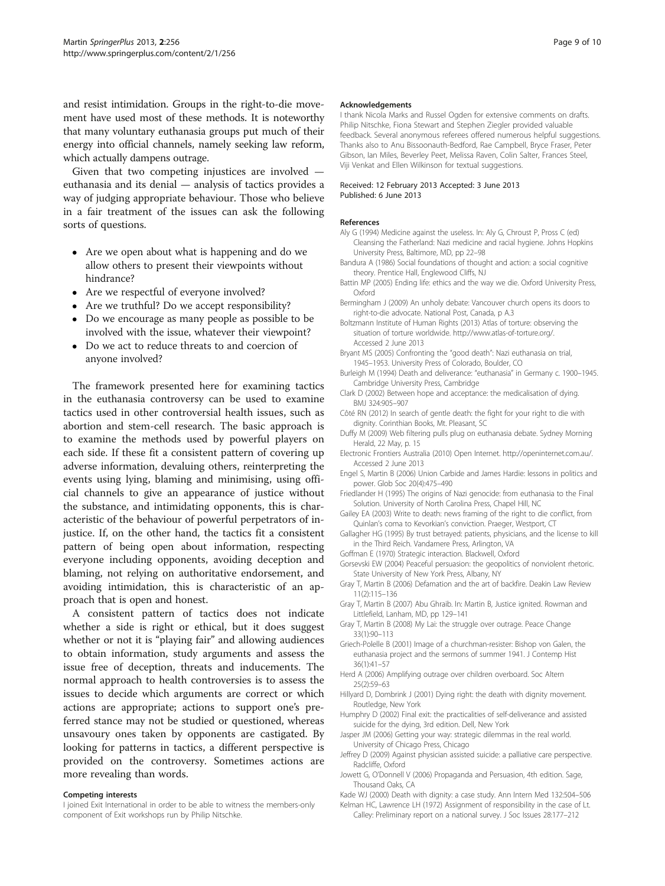<span id="page-8-0"></span>and resist intimidation. Groups in the right-to-die movement have used most of these methods. It is noteworthy that many voluntary euthanasia groups put much of their energy into official channels, namely seeking law reform, which actually dampens outrage.

Given that two competing injustices are involved euthanasia and its denial — analysis of tactics provides a way of judging appropriate behaviour. Those who believe in a fair treatment of the issues can ask the following sorts of questions.

- Are we open about what is happening and do we allow others to present their viewpoints without hindrance?
- Are we respectful of everyone involved?
- Are we truthful? Do we accept responsibility?
- Do we encourage as many people as possible to be involved with the issue, whatever their viewpoint?
- Do we act to reduce threats to and coercion of anyone involved?

The framework presented here for examining tactics in the euthanasia controversy can be used to examine tactics used in other controversial health issues, such as abortion and stem-cell research. The basic approach is to examine the methods used by powerful players on each side. If these fit a consistent pattern of covering up adverse information, devaluing others, reinterpreting the events using lying, blaming and minimising, using official channels to give an appearance of justice without the substance, and intimidating opponents, this is characteristic of the behaviour of powerful perpetrators of injustice. If, on the other hand, the tactics fit a consistent pattern of being open about information, respecting everyone including opponents, avoiding deception and blaming, not relying on authoritative endorsement, and avoiding intimidation, this is characteristic of an approach that is open and honest.

A consistent pattern of tactics does not indicate whether a side is right or ethical, but it does suggest whether or not it is "playing fair" and allowing audiences to obtain information, study arguments and assess the issue free of deception, threats and inducements. The normal approach to health controversies is to assess the issues to decide which arguments are correct or which actions are appropriate; actions to support one's preferred stance may not be studied or questioned, whereas unsavoury ones taken by opponents are castigated. By looking for patterns in tactics, a different perspective is provided on the controversy. Sometimes actions are more revealing than words.

#### Competing interests

I joined Exit International in order to be able to witness the members-only component of Exit workshops run by Philip Nitschke.

#### Acknowledgements

I thank Nicola Marks and Russel Ogden for extensive comments on drafts. Philip Nitschke, Fiona Stewart and Stephen Ziegler provided valuable feedback. Several anonymous referees offered numerous helpful suggestions. Thanks also to Anu Bissoonauth-Bedford, Rae Campbell, Bryce Fraser, Peter Gibson, Ian Miles, Beverley Peet, Melissa Raven, Colin Salter, Frances Steel, Viji Venkat and Ellen Wilkinson for textual suggestions.

#### Received: 12 February 2013 Accepted: 3 June 2013 Published: 6 June 2013

#### References

- Aly G (1994) Medicine against the useless. In: Aly G, Chroust P, Pross C (ed) Cleansing the Fatherland: Nazi medicine and racial hygiene. Johns Hopkins University Press, Baltimore, MD, pp 22–98
- Bandura A (1986) Social foundations of thought and action: a social cognitive theory. Prentice Hall, Englewood Cliffs, NJ
- Battin MP (2005) Ending life: ethics and the way we die. Oxford University Press, Oxford
- Bermingham J (2009) An unholy debate: Vancouver church opens its doors to right-to-die advocate. National Post, Canada, p A.3
- Boltzmann Institute of Human Rights (2013) Atlas of torture: observing the situation of torture worldwide. [http://www.atlas-of-torture.org/.](http://www.atlas-of-torture.org/) Accessed 2 June 2013
- Bryant MS (2005) Confronting the "good death": Nazi euthanasia on trial, 1945–1953. University Press of Colorado, Boulder, CO
- Burleigh M (1994) Death and deliverance: "euthanasia" in Germany c. 1900–1945. Cambridge University Press, Cambridge
- Clark D (2002) Between hope and acceptance: the medicalisation of dying. BMJ 324:905–907
- Côté RN (2012) In search of gentle death: the fight for your right to die with dignity. Corinthian Books, Mt. Pleasant, SC
- Duffy M (2009) Web filtering pulls plug on euthanasia debate. Sydney Morning Herald, 22 May, p. 15
- Electronic Frontiers Australia (2010) Open Internet. [http://openinternet.com.au/.](http://openinternet.com.au/) Accessed 2 June 2013
- Engel S, Martin B (2006) Union Carbide and James Hardie: lessons in politics and power. Glob Soc 20(4):475–490
- Friedlander H (1995) The origins of Nazi genocide: from euthanasia to the Final Solution. University of North Carolina Press, Chapel Hill, NC
- Gailey EA (2003) Write to death: news framing of the right to die conflict, from Quinlan's coma to Kevorkian's conviction. Praeger, Westport, CT
- Gallagher HG (1995) By trust betrayed: patients, physicians, and the license to kill in the Third Reich. Vandamere Press, Arlington, VA
- Goffman E (1970) Strategic interaction. Blackwell, Oxford
- Gorsevski EW (2004) Peaceful persuasion: the geopolitics of nonviolent rhetoric. State University of New York Press, Albany, NY
- Gray T, Martin B (2006) Defamation and the art of backfire. Deakin Law Review 11(2):115–136
- Gray T, Martin B (2007) Abu Ghraib. In: Martin B, Justice ignited. Rowman and Littlefield, Lanham, MD, pp 129–141
- Gray T, Martin B (2008) My Lai: the struggle over outrage. Peace Change 33(1):90–113
- Griech-Polelle B (2001) Image of a churchman-resister: Bishop von Galen, the euthanasia project and the sermons of summer 1941. J Contemp Hist 36(1):41–57
- Herd A (2006) Amplifying outrage over children overboard. Soc Altern 25(2):59–63
- Hillyard D, Dombrink J (2001) Dying right: the death with dignity movement. Routledge, New York
- Humphry D (2002) Final exit: the practicalities of self-deliverance and assisted suicide for the dying, 3rd edition. Dell, New York
- Jasper JM (2006) Getting your way: strategic dilemmas in the real world. University of Chicago Press, Chicago
- Jeffrey D (2009) Against physician assisted suicide: a palliative care perspective. Radcliffe, Oxford
- Jowett G, O'Donnell V (2006) Propaganda and Persuasion, 4th edition. Sage, Thousand Oaks, CA

Kade WJ (2000) Death with dignity: a case study. Ann Intern Med 132:504–506

Kelman HC, Lawrence LH (1972) Assignment of responsibility in the case of Lt. Calley: Preliminary report on a national survey. J Soc Issues 28:177–212